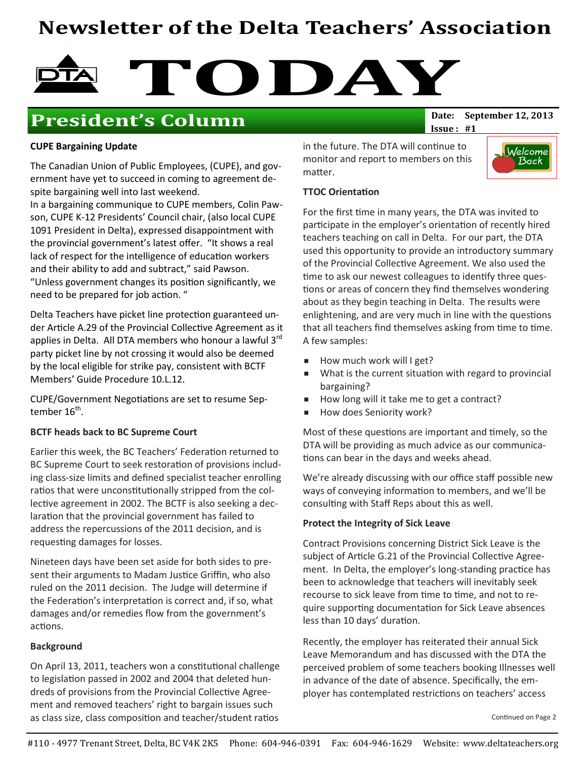# Newsletter of the Delta Teachers' Association



# **President's Column** Date: September 12, 2013

 $Issue: #1$ 

### CUPE Bargaining Update

The Canadian Union of Public Employees, (CUPE), and government have yet to succeed in coming to agreement despite bargaining well into last weekend.

In a bargaining communique to CUPE members, Colin Pawson, CUPE K-12 Presidents' Council chair, (also local CUPE 1091 President in Delta), expressed disappointment with the provincial government's latest offer. "It shows a real lack of respect for the intelligence of education workers and their ability to add and subtract," said Pawson. "Unless government changes its position significantly, we need to be prepared for job action. "

Delta Teachers have picket line protection guaranteed under Article A.29 of the Provincial Collective Agreement as it applies in Delta. All DTA members who honour a lawful  $3^{rd}$ party picket line by not crossing it would also be deemed by the local eligible for strike pay, consistent with BCTF Members' Guide Procedure 10.L.12.

CUPE/Government Negotiations are set to resume September 16 $^{\rm th}$ .

### BCTF heads back to BC Supreme Court

Earlier this week, the BC Teachers' Federation returned to BC Supreme Court to seek restoration of provisions including class-size limits and defined specialist teacher enrolling ratios that were unconstitutionally stripped from the collective agreement in 2002. The BCTF is also seeking a declaration that the provincial government has failed to address the repercussions of the 2011 decision, and is requesting damages for losses.

Nineteen days have been set aside for both sides to present their arguments to Madam Justice Griffin, who also ruled on the 2011 decision. The Judge will determine if the Federation's interpretation is correct and, if so, what damages and/or remedies flow from the government's actions.

### Background

On April 13, 2011, teachers won a constitutional challenge to legislation passed in 2002 and 2004 that deleted hundreds of provisions from the Provincial Collective Agreement and removed teachers' right to bargain issues such as class size, class composition and teacher/student ratios

in the future. The DTA will continue to monitor and report to members on this matter.



### **TTOC Orientation**

For the first time in many years, the DTA was invited to participate in the employer's orientation of recently hired teachers teaching on call in Delta. For our part, the DTA used this opportunity to provide an introductory summary of the Provincial Collective Agreement. We also used the time to ask our newest colleagues to identify three questions or areas of concern they find themselves wondering about as they begin teaching in Delta. The results were enlightening, and are very much in line with the questions that all teachers find themselves asking from time to time. A few samples:

- How much work will I get?
- What is the current situation with regard to provincial bargaining?
- How long will it take me to get a contract?
- How does Seniority work?

Most of these questions are important and timely, so the DTA will be providing as much advice as our communica tions can bear in the days and weeks ahead.

We're already discussing with our office staff possible new ways of conveying information to members, and we'll be consulting with Staff Reps about this as well.

### Protect the Integrity of Sick Leave

Contract Provisions concerning District Sick Leave is the subject of Article G.21 of the Provincial Collective Agreement. In Delta, the employer's long-standing practice has been to acknowledge that teachers will inevitably seek recourse to sick leave from time to time, and not to require supporting documentation for Sick Leave absences less than 10 days' duration.

Recently, the employer has reiterated their annual Sick Leave Memorandum and has discussed with the DTA the perceived problem of some teachers booking Illnesses well in advance of the date of absence. Specifically, the employer has contemplated restrictions on teachers' access

Continued on Page 2